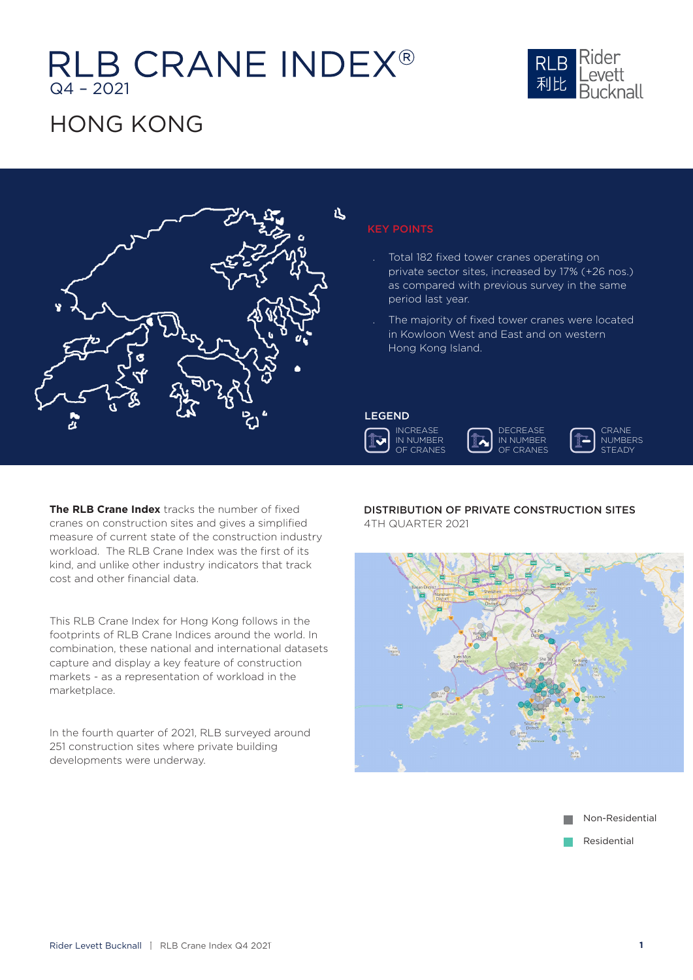# RLB CRANE INDEX®



### **HONG KONG**



### KEY POINTS

- Total 182 fixed tower cranes operating on private sector sites, increased by 17% (+26 nos.) as compared with previous survey in the same period last year.
- The majority of fixed tower cranes were located in Kowloon West and East and on western Hong Kong Island.

### LEGEND







**The RLB Crane Index** tracks the number of fixed cranes on construction sites and gives a simplified measure of current state of the construction industry workload. The RLB Crane Index was the first of its kind, and unlike other industry indicators that track cost and other financial data.

This RLB Crane Index for Hong Kong follows in the footprints of RLB Crane Indices around the world. In combination, these national and international datasets capture and display a key feature of construction markets - as a representation of workload in the marketplace.

In the fourth quarter of 2021, RLB surveyed around 251 construction sites where private building developments were underway.

DISTRIBUTION OF PRIVATE CONSTRUCTION SITES 4TH QUARTER 2021